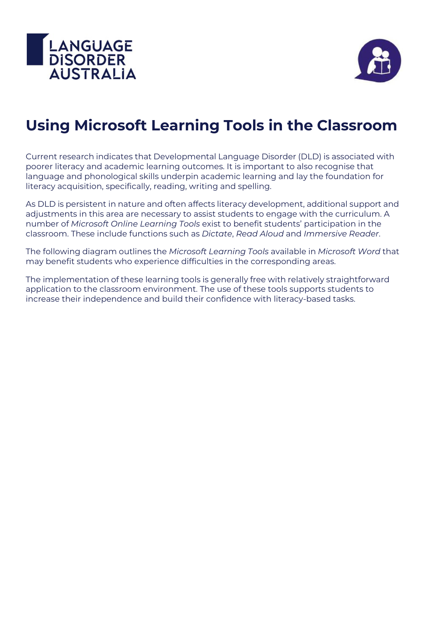



## **Using Microsoft Learning Tools in the Classroom**

Current research indicates that Developmental Language Disorder (DLD) is associated with poorer literacy and academic learning outcomes. It is important to also recognise that language and phonological skills underpin academic learning and lay the foundation for literacy acquisition, specifically, reading, writing and spelling.

As DLD is persistent in nature and often affects literacy development, additional support and adjustments in this area are necessary to assist students to engage with the curriculum. A number of *Microsoft Online Learning Tools* exist to benefit students' participation in the classroom. These include functions such as *Dictate*, *Read Aloud* and *Immersive Reader*.

The following diagram outlines the *Microsoft Learning Tools* available in *Microsoft Word* that may benefit students who experience difficulties in the corresponding areas.

The implementation of these learning tools is generally free with relatively straightforward application to the classroom environment. The use of these tools supports students to increase their independence and build their confidence with literacy-based tasks.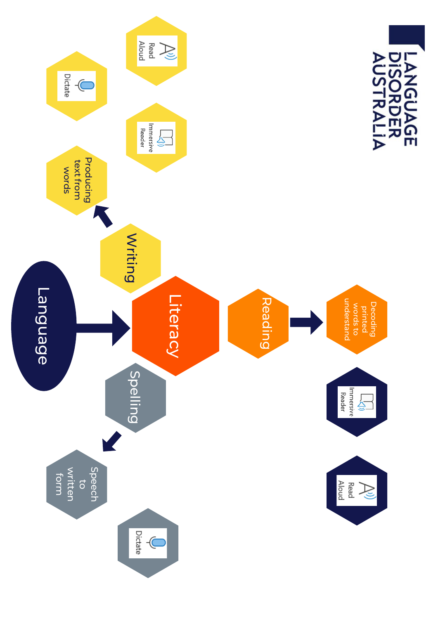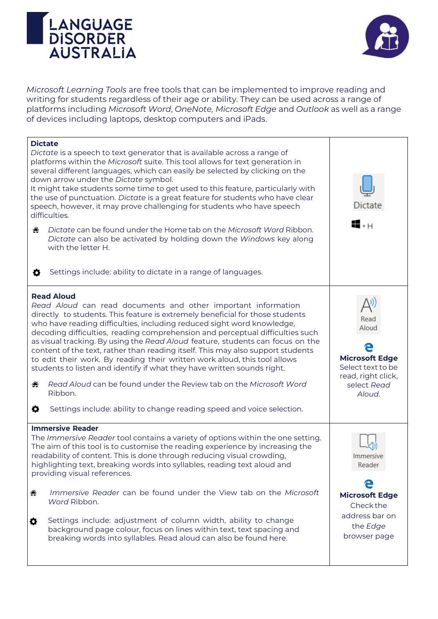



*Microsoft Learning Tools* are free tools that can be implemented to improve reading and writing for students regardless of their age or ability. They can be used across a range of platforms including *Microsoft Word*, *OneNote, Microsoft Edge* and *Outlook* as well as a range of devices including laptops, desktop computers and iPads.

| <b>Dictate</b><br>Dictate is a speech to text generator that is available across a range of<br>platforms within the Microsoft suite. This tool allows for text generation in<br>several different languages, which can easily be selected by clicking on the<br>down arrow under the Dictate symbol.<br>It might take students some time to get used to this feature, particularly with<br>the use of punctuation. Dictate is a great feature for students who have clear<br>speech, however, it may prove challenging for students who have speech<br>difficulties.<br>Dictate can be found under the Home tab on the Microsoft Word Ribbon.<br>ക<br>Dictate can also be activated by holding down the Windows key along<br>with the letter H.                                                                                          | Dictate<br>4 + H                                                                                           |  |  |  |  |
|------------------------------------------------------------------------------------------------------------------------------------------------------------------------------------------------------------------------------------------------------------------------------------------------------------------------------------------------------------------------------------------------------------------------------------------------------------------------------------------------------------------------------------------------------------------------------------------------------------------------------------------------------------------------------------------------------------------------------------------------------------------------------------------------------------------------------------------|------------------------------------------------------------------------------------------------------------|--|--|--|--|
| Settings include: ability to dictate in a range of languages.<br>o                                                                                                                                                                                                                                                                                                                                                                                                                                                                                                                                                                                                                                                                                                                                                                       |                                                                                                            |  |  |  |  |
| <b>Read Aloud</b><br>Read Aloud can read documents and other important information<br>directly to students. This feature is extremely beneficial for those students<br>who have reading difficulties, including reduced sight word knowledge,<br>decoding difficulties, reading comprehension and perceptual difficulties such<br>as visual tracking. By using the Read Aloud feature, students can focus on the<br>content of the text, rather than reading itself. This may also support students<br>to edit their work. By reading their written work aloud, this tool allows<br>students to listen and identify if what they have written sounds right.<br>Read Aloud can be found under the Review tab on the Microsoft Word<br>畚<br>Ribbon.<br>$\bullet$<br>Settings include: ability to change reading speed and voice selection. | Read<br>Aloud<br><b>Microsoft Edge</b><br>Select text to be<br>read, right click,<br>select Read<br>Aloud. |  |  |  |  |
| <b>Immersive Reader</b><br>The Immersive Reader tool contains a variety of options within the one setting.<br>The aim of this tool is to customise the reading experience by increasing the<br>readability of content. This is done through reducing visual crowding,<br>highlighting text, breaking words into syllables, reading text aloud and<br>providing visual references.<br>Immersive Reader can be found under the View tab on the Microsoft<br>ക<br>Word Ribbon.<br>Settings include: adjustment of column width, ability to change<br>$\bullet$<br>background page colour, focus on lines within text, text spacing and<br>breaking words into syllables. Read aloud can also be found here.                                                                                                                                 | Immersive<br>Reader<br><b>Microsoft Edge</b><br>Check the<br>address bar on<br>the Edge<br>browser page    |  |  |  |  |